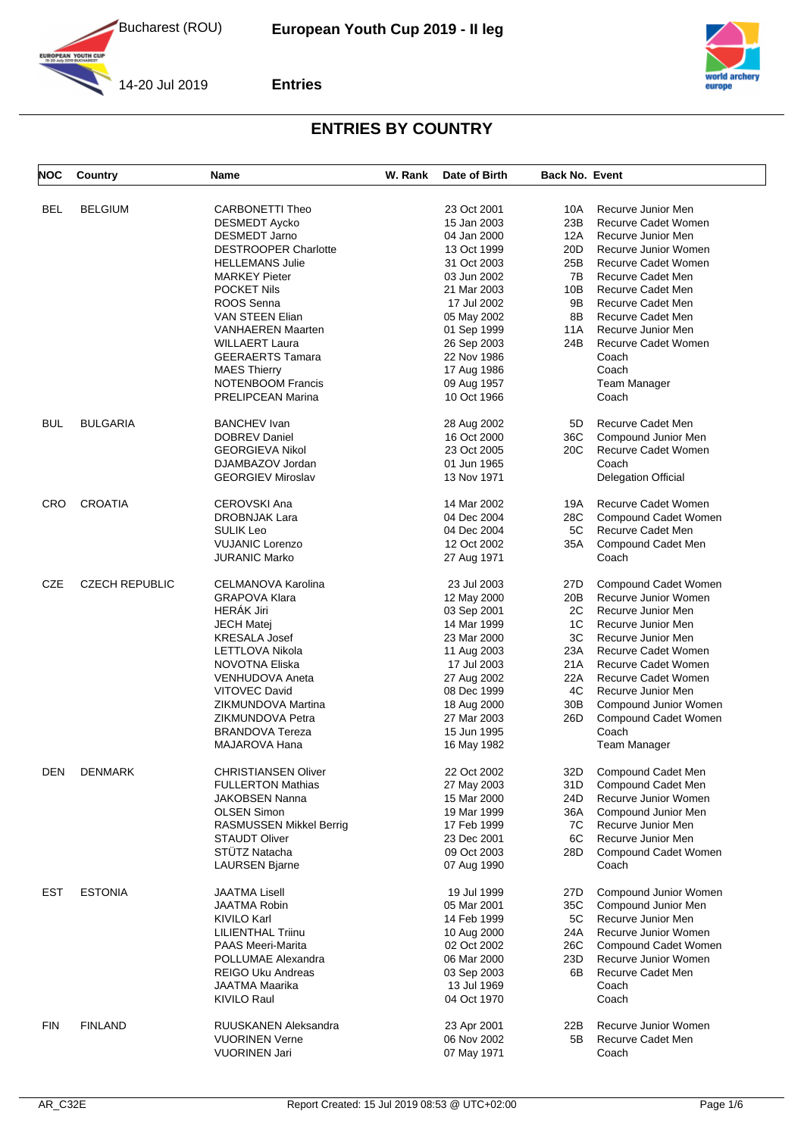



**YOUTH CUP** 

**Entries**

| <b>NOC</b> | Country               | <b>Name</b>                 | W. Rank | Date of Birth | <b>Back No. Event</b> |                            |
|------------|-----------------------|-----------------------------|---------|---------------|-----------------------|----------------------------|
|            |                       |                             |         |               |                       |                            |
| BEL        | <b>BELGIUM</b>        | <b>CARBONETTI Theo</b>      |         | 23 Oct 2001   | 10A                   | Recurve Junior Men         |
|            |                       | <b>DESMEDT Aycko</b>        |         | 15 Jan 2003   | 23B                   | Recurve Cadet Women        |
|            |                       | <b>DESMEDT Jarno</b>        |         | 04 Jan 2000   | 12A                   | Recurve Junior Men         |
|            |                       | <b>DESTROOPER Charlotte</b> |         | 13 Oct 1999   | 20D                   | Recurve Junior Women       |
|            |                       | <b>HELLEMANS Julie</b>      |         | 31 Oct 2003   | 25B                   | Recurve Cadet Women        |
|            |                       | <b>MARKEY Pieter</b>        |         | 03 Jun 2002   | 7B                    | Recurve Cadet Men          |
|            |                       | <b>POCKET Nils</b>          |         | 21 Mar 2003   | 10B                   | Recurve Cadet Men          |
|            |                       | ROOS Senna                  |         | 17 Jul 2002   | 9B                    | Recurve Cadet Men          |
|            |                       |                             |         |               | 8B                    |                            |
|            |                       | <b>VAN STEEN Elian</b>      |         | 05 May 2002   |                       | Recurve Cadet Men          |
|            |                       | <b>VANHAEREN Maarten</b>    |         | 01 Sep 1999   | 11A                   | Recurve Junior Men         |
|            |                       | <b>WILLAERT Laura</b>       |         | 26 Sep 2003   | 24B                   | Recurve Cadet Women        |
|            |                       | <b>GEERAERTS Tamara</b>     |         | 22 Nov 1986   |                       | Coach                      |
|            |                       | <b>MAES Thierry</b>         |         | 17 Aug 1986   |                       | Coach                      |
|            |                       | <b>NOTENBOOM Francis</b>    |         | 09 Aug 1957   |                       | Team Manager               |
|            |                       | <b>PRELIPCEAN Marina</b>    |         | 10 Oct 1966   |                       | Coach                      |
| <b>BUL</b> | <b>BULGARIA</b>       | <b>BANCHEV Ivan</b>         |         | 28 Aug 2002   | 5D                    | Recurve Cadet Men          |
|            |                       | <b>DOBREV Daniel</b>        |         | 16 Oct 2000   | 36C                   | Compound Junior Men        |
|            |                       | <b>GEORGIEVA Nikol</b>      |         | 23 Oct 2005   | 20C                   | Recurve Cadet Women        |
|            |                       | DJAMBAZOV Jordan            |         | 01 Jun 1965   |                       | Coach                      |
|            |                       | <b>GEORGIEV Miroslav</b>    |         | 13 Nov 1971   |                       | <b>Delegation Official</b> |
| <b>CRO</b> | <b>CROATIA</b>        | CEROVSKI Ana                |         | 14 Mar 2002   | 19A                   | Recurve Cadet Women        |
|            |                       | <b>DROBNJAK Lara</b>        |         | 04 Dec 2004   | 28C                   | Compound Cadet Women       |
|            |                       | <b>SULIK Leo</b>            |         | 04 Dec 2004   | 5C                    | Recurve Cadet Men          |
|            |                       | <b>VUJANIC Lorenzo</b>      |         |               |                       | Compound Cadet Men         |
|            |                       |                             |         | 12 Oct 2002   | 35A                   |                            |
|            |                       | JURANIC Marko               |         | 27 Aug 1971   |                       | Coach                      |
| <b>CZE</b> | <b>CZECH REPUBLIC</b> | CELMANOVA Karolina          |         | 23 Jul 2003   | 27D                   | Compound Cadet Women       |
|            |                       | <b>GRAPOVA Klara</b>        |         | 12 May 2000   | 20B                   | Recurve Junior Women       |
|            |                       | <b>HERÁK Jiri</b>           |         | 03 Sep 2001   | 2C                    | Recurve Junior Men         |
|            |                       | <b>JECH Matej</b>           |         | 14 Mar 1999   | 1C                    | Recurve Junior Men         |
|            |                       | <b>KRESALA Josef</b>        |         | 23 Mar 2000   | 3C                    | Recurve Junior Men         |
|            |                       | LETTLOVA Nikola             |         | 11 Aug 2003   | 23A                   | Recurve Cadet Women        |
|            |                       | NOVOTNA Eliska              |         | 17 Jul 2003   | 21A                   | Recurve Cadet Women        |
|            |                       | VENHUDOVA Aneta             |         | 27 Aug 2002   | 22A                   | Recurve Cadet Women        |
|            |                       | <b>VITOVEC David</b>        |         | 08 Dec 1999   | 4C                    | Recurve Junior Men         |
|            |                       | ZIKMUNDOVA Martina          |         | 18 Aug 2000   | 30B                   | Compound Junior Women      |
|            |                       | ZIKMUNDOVA Petra            |         | 27 Mar 2003   | 26D                   | Compound Cadet Women       |
|            |                       | <b>BRANDOVA Tereza</b>      |         | 15 Jun 1995   |                       | Coach                      |
|            |                       | MAJAROVA Hana               |         | 16 May 1982   |                       | Team Manager               |
|            |                       |                             |         |               |                       |                            |
| <b>DEN</b> | <b>DENMARK</b>        | <b>CHRISTIANSEN Oliver</b>  |         | 22 Oct 2002   |                       | 32D Compound Cadet Men     |
|            |                       | <b>FULLERTON Mathias</b>    |         | 27 May 2003   | 31D                   | Compound Cadet Men         |
|            |                       | JAKOBSEN Nanna              |         | 15 Mar 2000   | 24D                   | Recurve Junior Women       |
|            |                       | <b>OLSEN Simon</b>          |         | 19 Mar 1999   | 36A                   | Compound Junior Men        |
|            |                       | RASMUSSEN Mikkel Berrig     |         | 17 Feb 1999   | 7C                    | Recurve Junior Men         |
|            |                       | <b>STAUDT Oliver</b>        |         | 23 Dec 2001   | 6C                    | Recurve Junior Men         |
|            |                       | <b>STUTZ Natacha</b>        |         | 09 Oct 2003   | 28D.                  | Compound Cadet Women       |
|            |                       | <b>LAURSEN Bjarne</b>       |         | 07 Aug 1990   |                       | Coach                      |
| <b>EST</b> | <b>ESTONIA</b>        | JAATMA Lisell               |         | 19 Jul 1999   | 27D                   | Compound Junior Women      |
|            |                       | <b>JAATMA Robin</b>         |         | 05 Mar 2001   | 35C                   | Compound Junior Men        |
|            |                       | KIVILO Karl                 |         | 14 Feb 1999   | 5C                    | Recurve Junior Men         |
|            |                       |                             |         |               |                       |                            |
|            |                       | LILIENTHAL Triinu           |         | 10 Aug 2000   | 24A                   | Recurve Junior Women       |
|            |                       | PAAS Meeri-Marita           |         | 02 Oct 2002   | 26C                   | Compound Cadet Women       |
|            |                       | POLLUMAE Alexandra          |         | 06 Mar 2000   | 23D                   | Recurve Junior Women       |
|            |                       | REIGO Uku Andreas           |         | 03 Sep 2003   | 6B                    | Recurve Cadet Men          |
|            |                       | JAATMA Maarika              |         | 13 Jul 1969   |                       | Coach                      |
|            |                       | KIVILO Raul                 |         | 04 Oct 1970   |                       | Coach                      |
| <b>FIN</b> | <b>FINLAND</b>        | <b>RUUSKANEN Aleksandra</b> |         | 23 Apr 2001   | 22B                   | Recurve Junior Women       |
|            |                       | <b>VUORINEN Verne</b>       |         | 06 Nov 2002   | 5B                    | Recurve Cadet Men          |
|            |                       | <b>VUORINEN Jari</b>        |         | 07 May 1971   |                       | Coach                      |
|            |                       |                             |         |               |                       |                            |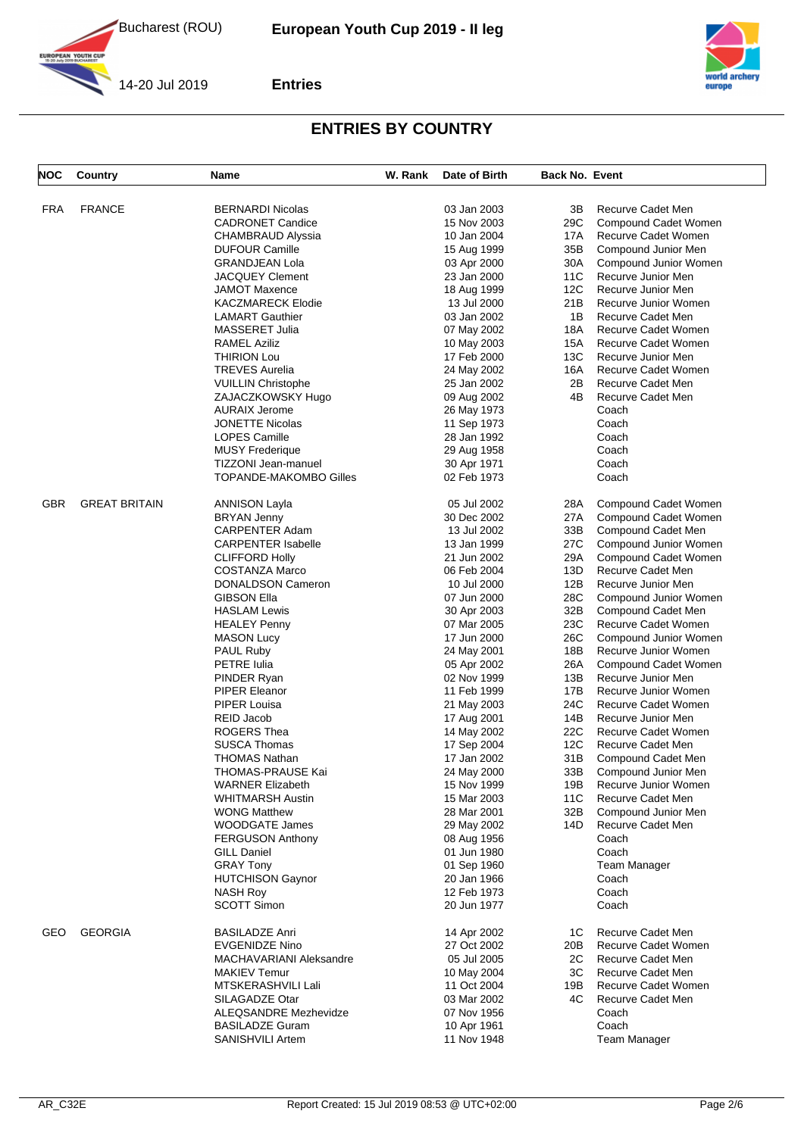



**IN YOUTH CUP** 

**Entries**

| NOC        | Country              | <b>Name</b>                  | W. Rank | Date of Birth | <b>Back No. Event</b> |                            |
|------------|----------------------|------------------------------|---------|---------------|-----------------------|----------------------------|
|            |                      |                              |         |               |                       |                            |
| <b>FRA</b> | <b>FRANCE</b>        | <b>BERNARDI Nicolas</b>      |         | 03 Jan 2003   | 3B                    | Recurve Cadet Men          |
|            |                      | <b>CADRONET Candice</b>      |         | 15 Nov 2003   | 29C                   | Compound Cadet Women       |
|            |                      | CHAMBRAUD Alyssia            |         | 10 Jan 2004   | 17A                   | Recurve Cadet Women        |
|            |                      | <b>DUFOUR Camille</b>        |         | 15 Aug 1999   | 35B                   | Compound Junior Men        |
|            |                      | <b>GRANDJEAN Lola</b>        |         | 03 Apr 2000   | 30A                   | Compound Junior Women      |
|            |                      | <b>JACQUEY Clement</b>       |         | 23 Jan 2000   | 11C                   | Recurve Junior Men         |
|            |                      | JAMOT Maxence                |         | 18 Aug 1999   | 12C                   | Recurve Junior Men         |
|            |                      | <b>KACZMARECK Elodie</b>     |         | 13 Jul 2000   | 21B                   | Recurve Junior Women       |
|            |                      | <b>LAMART Gauthier</b>       |         | 03 Jan 2002   | 1B                    | Recurve Cadet Men          |
|            |                      | <b>MASSERET Julia</b>        |         | 07 May 2002   | 18A                   | Recurve Cadet Women        |
|            |                      | RAMEL Aziliz                 |         | 10 May 2003   | 15A                   | Recurve Cadet Women        |
|            |                      | THIRION Lou                  |         | 17 Feb 2000   | 13C                   | Recurve Junior Men         |
|            |                      | <b>TREVES Aurelia</b>        |         | 24 May 2002   | 16A                   | Recurve Cadet Women        |
|            |                      | <b>VUILLIN Christophe</b>    |         | 25 Jan 2002   | 2B                    | Recurve Cadet Men          |
|            |                      | ZAJACZKOWSKY Hugo            |         | 09 Aug 2002   | 4B                    | Recurve Cadet Men          |
|            |                      | <b>AURAIX Jerome</b>         |         | 26 May 1973   |                       | Coach                      |
|            |                      | <b>JONETTE Nicolas</b>       |         | 11 Sep 1973   |                       | Coach                      |
|            |                      | <b>LOPES Camille</b>         |         | 28 Jan 1992   |                       | Coach                      |
|            |                      | <b>MUSY Frederique</b>       |         | 29 Aug 1958   |                       | Coach                      |
|            |                      | TIZZONI Jean-manuel          |         | 30 Apr 1971   |                       | Coach                      |
|            |                      | TOPANDE-MAKOMBO Gilles       |         | 02 Feb 1973   |                       | Coach                      |
|            |                      |                              |         |               |                       |                            |
| <b>GBR</b> | <b>GREAT BRITAIN</b> | ANNISON Layla                |         | 05 Jul 2002   | 28A                   | Compound Cadet Women       |
|            |                      | <b>BRYAN Jenny</b>           |         | 30 Dec 2002   | 27A                   | Compound Cadet Women       |
|            |                      | <b>CARPENTER Adam</b>        |         | 13 Jul 2002   | 33B                   | Compound Cadet Men         |
|            |                      | <b>CARPENTER Isabelle</b>    |         | 13 Jan 1999   | 27C                   | Compound Junior Women      |
|            |                      | <b>CLIFFORD Holly</b>        |         | 21 Jun 2002   | 29A                   | Compound Cadet Women       |
|            |                      | COSTANZA Marco               |         | 06 Feb 2004   | 13D                   | Recurve Cadet Men          |
|            |                      | <b>DONALDSON Cameron</b>     |         | 10 Jul 2000   | 12B                   | Recurve Junior Men         |
|            |                      | GIBSON Ella                  |         | 07 Jun 2000   | 28C                   | Compound Junior Women      |
|            |                      | <b>HASLAM Lewis</b>          |         | 30 Apr 2003   | 32B                   | Compound Cadet Men         |
|            |                      | HEALEY Penny                 |         | 07 Mar 2005   | 23C                   | Recurve Cadet Women        |
|            |                      | <b>MASON Lucy</b>            |         | 17 Jun 2000   | 26C                   | Compound Junior Women      |
|            |                      | PAUL Ruby                    |         | 24 May 2001   | 18B                   | Recurve Junior Women       |
|            |                      | PETRE Iulia                  |         | 05 Apr 2002   | 26A                   | Compound Cadet Women       |
|            |                      | PINDER Ryan                  |         | 02 Nov 1999   | 13B                   | Recurve Junior Men         |
|            |                      | PIPER Eleanor                |         | 11 Feb 1999   | 17B                   | Recurve Junior Women       |
|            |                      | PIPER Louisa                 |         | 21 May 2003   | 24C                   | Recurve Cadet Women        |
|            |                      | REID Jacob                   |         | 17 Aug 2001   | 14B                   | Recurve Junior Men         |
|            |                      | ROGERS Thea                  |         | 14 May 2002   | 22C                   | Recurve Cadet Women        |
|            |                      | <b>SUSCA Thomas</b>          |         | 17 Sep 2004   | 12C                   | Recurve Cadet Men          |
|            |                      | <b>THOMAS Nathan</b>         |         | 17 Jan 2002   | 31B                   | Compound Cadet Men         |
|            |                      | THOMAS-PRAUSE Kai            |         | 24 May 2000   | 33B                   | Compound Junior Men        |
|            |                      | <b>WARNER Elizabeth</b>      |         | 15 Nov 1999   |                       | 19B Recurve Junior Women   |
|            |                      | <b>WHITMARSH Austin</b>      |         | 15 Mar 2003   | 11C                   | Recurve Cadet Men          |
|            |                      | <b>WONG Matthew</b>          |         | 28 Mar 2001   | 32B                   | Compound Junior Men        |
|            |                      | WOODGATE James               |         | 29 May 2002   | 14D                   | Recurve Cadet Men          |
|            |                      | <b>FERGUSON Anthony</b>      |         | 08 Aug 1956   |                       | Coach                      |
|            |                      | <b>GILL Daniel</b>           |         | 01 Jun 1980   |                       | Coach                      |
|            |                      | <b>GRAY Tony</b>             |         | 01 Sep 1960   |                       | Team Manager               |
|            |                      | <b>HUTCHISON Gaynor</b>      |         | 20 Jan 1966   |                       | Coach                      |
|            |                      | <b>NASH Roy</b>              |         | 12 Feb 1973   |                       | Coach                      |
|            |                      | <b>SCOTT Simon</b>           |         | 20 Jun 1977   |                       | Coach                      |
|            |                      |                              |         |               |                       |                            |
| GEO        | <b>GEORGIA</b>       | <b>BASILADZE Anri</b>        |         | 14 Apr 2002   | 1C                    | Recurve Cadet Men          |
|            |                      | <b>EVGENIDZE Nino</b>        |         | 27 Oct 2002   | 20B                   | <b>Recurve Cadet Women</b> |
|            |                      | MACHAVARIANI Aleksandre      |         | 05 Jul 2005   | 2C                    | Recurve Cadet Men          |
|            |                      | <b>MAKIEV Temur</b>          |         | 10 May 2004   | ЗC                    | Recurve Cadet Men          |
|            |                      | MTSKERASHVILI Lali           |         | 11 Oct 2004   | 19B                   | Recurve Cadet Women        |
|            |                      | SILAGADZE Otar               |         | 03 Mar 2002   | 4C                    | Recurve Cadet Men          |
|            |                      | <b>ALEQSANDRE Mezhevidze</b> |         | 07 Nov 1956   |                       | Coach                      |
|            |                      | <b>BASILADZE Guram</b>       |         | 10 Apr 1961   |                       | Coach                      |
|            |                      | SANISHVILI Artem             |         | 11 Nov 1948   |                       | Team Manager               |
|            |                      |                              |         |               |                       |                            |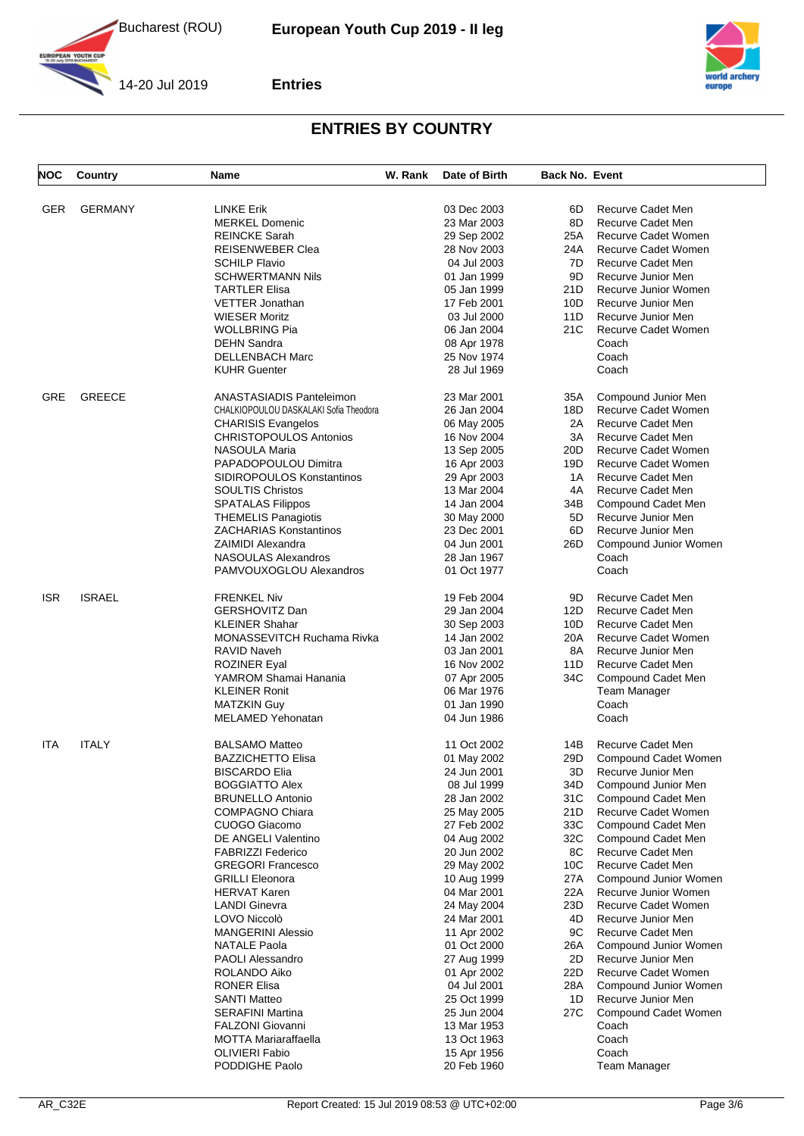



**IN YOUTH CUP** 

**Entries**

| <b>NOC</b> | <b>Country</b> | Name                                   | W. Rank | Date of Birth | <b>Back No. Event</b> |                          |
|------------|----------------|----------------------------------------|---------|---------------|-----------------------|--------------------------|
|            |                |                                        |         |               |                       |                          |
| <b>GER</b> | <b>GERMANY</b> | <b>LINKE Erik</b>                      |         | 03 Dec 2003   | 6D                    | Recurve Cadet Men        |
|            |                | <b>MERKEL Domenic</b>                  |         | 23 Mar 2003   | 8D                    | <b>Recurve Cadet Men</b> |
|            |                | <b>REINCKE Sarah</b>                   |         | 29 Sep 2002   | 25A                   | Recurve Cadet Women      |
|            |                | <b>REISENWEBER Clea</b>                |         | 28 Nov 2003   | 24A                   | Recurve Cadet Women      |
|            |                | <b>SCHILP Flavio</b>                   |         | 04 Jul 2003   | 7D.                   | Recurve Cadet Men        |
|            |                | <b>SCHWERTMANN Nils</b>                |         | 01 Jan 1999   | 9D                    | Recurve Junior Men       |
|            |                | TARTLER Elisa                          |         | 05 Jan 1999   | 21D.                  | Recurve Junior Women     |
|            |                | <b>VETTER Jonathan</b>                 |         | 17 Feb 2001   | 10D                   | Recurve Junior Men       |
|            |                |                                        |         | 03 Jul 2000   |                       |                          |
|            |                | <b>WIESER Moritz</b>                   |         |               | 11D                   | Recurve Junior Men       |
|            |                | <b>WOLLBRING Pia</b>                   |         | 06 Jan 2004   | 21C -                 | Recurve Cadet Women      |
|            |                | <b>DEHN Sandra</b>                     |         | 08 Apr 1978   |                       | Coach                    |
|            |                | DELLENBACH Marc                        |         | 25 Nov 1974   |                       | Coach                    |
|            |                | <b>KUHR Guenter</b>                    |         | 28 Jul 1969   |                       | Coach                    |
| GRE        | <b>GREECE</b>  | ANASTASIADIS Panteleimon               |         | 23 Mar 2001   | 35A                   | Compound Junior Men      |
|            |                | CHALKIOPOULOU DASKALAKI Sofia Theodora |         | 26 Jan 2004   | 18D                   | Recurve Cadet Women      |
|            |                | <b>CHARISIS Evangelos</b>              |         | 06 May 2005   | 2A                    | Recurve Cadet Men        |
|            |                | <b>CHRISTOPOULOS Antonios</b>          |         | 16 Nov 2004   | 3A                    | Recurve Cadet Men        |
|            |                | NASOULA Maria                          |         | 13 Sep 2005   | 20D                   | Recurve Cadet Women      |
|            |                |                                        |         |               |                       | Recurve Cadet Women      |
|            |                | PAPADOPOULOU Dimitra                   |         | 16 Apr 2003   | 19D -                 |                          |
|            |                | SIDIROPOULOS Konstantinos              |         | 29 Apr 2003   | 1A                    | Recurve Cadet Men        |
|            |                | <b>SOULTIS Christos</b>                |         | 13 Mar 2004   | 4A                    | Recurve Cadet Men        |
|            |                | <b>SPATALAS Filippos</b>               |         | 14 Jan 2004   | 34B                   | Compound Cadet Men       |
|            |                | <b>THEMELIS Panagiotis</b>             |         | 30 May 2000   | 5D                    | Recurve Junior Men       |
|            |                | ZACHARIAS Konstantinos                 |         | 23 Dec 2001   | 6D                    | Recurve Junior Men       |
|            |                | <b>ZAIMIDI Alexandra</b>               |         | 04 Jun 2001   | 26D                   | Compound Junior Women    |
|            |                | <b>NASOULAS Alexandros</b>             |         | 28 Jan 1967   |                       | Coach                    |
|            |                | PAMVOUXOGLOU Alexandros                |         | 01 Oct 1977   |                       | Coach                    |
| <b>ISR</b> | <b>ISRAEL</b>  | <b>FRENKEL Niv</b>                     |         | 19 Feb 2004   | 9D                    | <b>Recurve Cadet Men</b> |
|            |                | <b>GERSHOVITZ Dan</b>                  |         | 29 Jan 2004   | 12D                   | <b>Recurve Cadet Men</b> |
|            |                | <b>KLEINER Shahar</b>                  |         | 30 Sep 2003   | 10D                   | Recurve Cadet Men        |
|            |                | <b>MONASSEVITCH Ruchama Rivka</b>      |         | 14 Jan 2002   | 20A                   | Recurve Cadet Women      |
|            |                |                                        |         |               |                       |                          |
|            |                | RAVID Naveh                            |         | 03 Jan 2001   | 8A                    | Recurve Junior Men       |
|            |                | <b>ROZINER Eyal</b>                    |         | 16 Nov 2002   | 11D                   | Recurve Cadet Men        |
|            |                | YAMROM Shamai Hanania                  |         | 07 Apr 2005   | 34C                   | Compound Cadet Men       |
|            |                | <b>KLEINER Ronit</b>                   |         | 06 Mar 1976   |                       | <b>Team Manager</b>      |
|            |                | <b>MATZKIN Guy</b>                     |         | 01 Jan 1990   |                       | Coach                    |
|            |                | <b>MELAMED Yehonatan</b>               |         | 04 Jun 1986   |                       | Coach                    |
| ITA        | <b>ITALY</b>   | <b>BALSAMO Matteo</b>                  |         | 11 Oct 2002   | 14B                   | Recurve Cadet Men        |
|            |                | <b>BAZZICHETTO Elisa</b>               |         | 01 May 2002   | 29D                   | Compound Cadet Women     |
|            |                | <b>BISCARDO Elia</b>                   |         | 24 Jun 2001   | 3D                    | Recurve Junior Men       |
|            |                | <b>BOGGIATTO Alex</b>                  |         | 08 Jul 1999   | 34D                   | Compound Junior Men      |
|            |                | <b>BRUNELLO Antonio</b>                |         | 28 Jan 2002   | 31C                   | Compound Cadet Men       |
|            |                | <b>COMPAGNO Chiara</b>                 |         | 25 May 2005   | 21D -                 | Recurve Cadet Women      |
|            |                | CUOGO Giacomo                          |         | 27 Feb 2002   | 33C                   | Compound Cadet Men       |
|            |                |                                        |         |               |                       |                          |
|            |                | DE ANGELI Valentino                    |         | 04 Aug 2002   | 32C                   | Compound Cadet Men       |
|            |                | <b>FABRIZZI Federico</b>               |         | 20 Jun 2002   | 8C                    | Recurve Cadet Men        |
|            |                | <b>GREGORI Francesco</b>               |         | 29 May 2002   | 10C                   | Recurve Cadet Men        |
|            |                | <b>GRILLI Eleonora</b>                 |         | 10 Aug 1999   | 27A                   | Compound Junior Women    |
|            |                | <b>HERVAT Karen</b>                    |         | 04 Mar 2001   | 22A                   | Recurve Junior Women     |
|            |                | <b>LANDI Ginevra</b>                   |         | 24 May 2004   | 23D                   | Recurve Cadet Women      |
|            |                | LOVO Niccolò                           |         | 24 Mar 2001   | 4D                    | Recurve Junior Men       |
|            |                | <b>MANGERINI Alessio</b>               |         | 11 Apr 2002   | 9C                    | Recurve Cadet Men        |
|            |                | <b>NATALE Paola</b>                    |         | 01 Oct 2000   | 26A                   | Compound Junior Women    |
|            |                | <b>PAOLI Alessandro</b>                |         | 27 Aug 1999   | 2D                    | Recurve Junior Men       |
|            |                | ROLANDO Aiko                           |         | 01 Apr 2002   | 22D                   | Recurve Cadet Women      |
|            |                | <b>RONER Elisa</b>                     |         | 04 Jul 2001   | 28A                   | Compound Junior Women    |
|            |                | <b>SANTI Matteo</b>                    |         | 25 Oct 1999   | 1D                    | Recurve Junior Men       |
|            |                |                                        |         |               |                       |                          |
|            |                | <b>SERAFINI Martina</b>                |         | 25 Jun 2004   | 27C                   | Compound Cadet Women     |
|            |                | FALZONI Giovanni                       |         | 13 Mar 1953   |                       | Coach                    |
|            |                | <b>MOTTA Mariaraffaella</b>            |         | 13 Oct 1963   |                       | Coach                    |
|            |                | <b>OLIVIERI Fabio</b>                  |         | 15 Apr 1956   |                       | Coach                    |
|            |                | PODDIGHE Paolo                         |         | 20 Feb 1960   |                       | <b>Team Manager</b>      |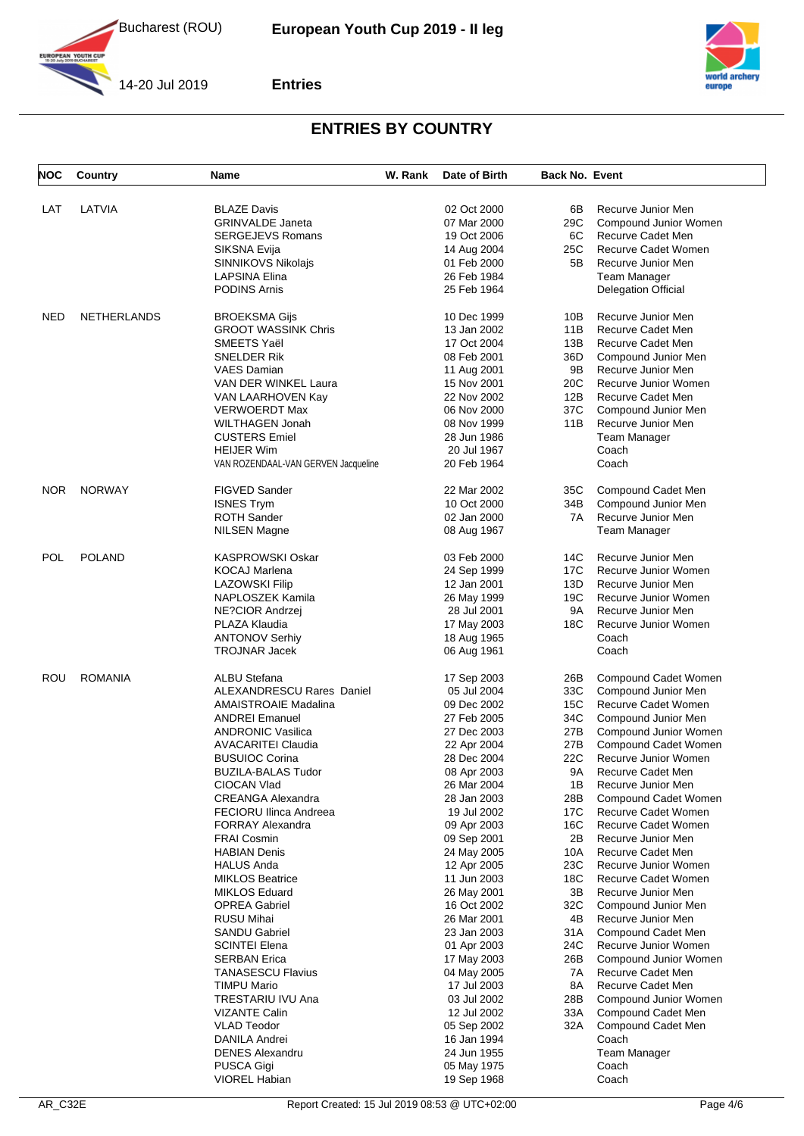

**IN YOUTH CUP** 



14-20 Jul 2019

**Entries**

| NOC        | Country            | <b>Name</b>                         | W. Rank | Date of Birth | <b>Back No. Event</b> |                            |
|------------|--------------------|-------------------------------------|---------|---------------|-----------------------|----------------------------|
|            |                    |                                     |         |               |                       |                            |
| LAT        | LATVIA             | <b>BLAZE Davis</b>                  |         | 02 Oct 2000   | 6B                    | Recurve Junior Men         |
|            |                    | <b>GRINVALDE Janeta</b>             |         | 07 Mar 2000   | 29C                   | Compound Junior Women      |
|            |                    | <b>SERGEJEVS Romans</b>             |         | 19 Oct 2006   | 6C                    | Recurve Cadet Men          |
|            |                    | SIKSNA Evija                        |         | 14 Aug 2004   | 25C                   | Recurve Cadet Women        |
|            |                    | SINNIKOVS Nikolajs                  |         | 01 Feb 2000   | 5B                    | Recurve Junior Men         |
|            |                    | LAPSINA Elina                       |         | 26 Feb 1984   |                       |                            |
|            |                    |                                     |         |               |                       | <b>Team Manager</b>        |
|            |                    | <b>PODINS Arnis</b>                 |         | 25 Feb 1964   |                       | <b>Delegation Official</b> |
| <b>NED</b> | <b>NETHERLANDS</b> | <b>BROEKSMA Gijs</b>                |         | 10 Dec 1999   | 10B                   | Recurve Junior Men         |
|            |                    | <b>GROOT WASSINK Chris</b>          |         | 13 Jan 2002   | 11B                   | Recurve Cadet Men          |
|            |                    | SMEETS Yaël                         |         | 17 Oct 2004   | 13B                   | Recurve Cadet Men          |
|            |                    | SNELDER Rik                         |         | 08 Feb 2001   | 36D                   | Compound Junior Men        |
|            |                    | VAES Damian                         |         | 11 Aug 2001   | 9Β                    | Recurve Junior Men         |
|            |                    | VAN DER WINKEL Laura                |         | 15 Nov 2001   | 20 <sub>C</sub>       | Recurve Junior Women       |
|            |                    | VAN LAARHOVEN Kay                   |         | 22 Nov 2002   | 12B                   | Recurve Cadet Men          |
|            |                    | <b>VERWOERDT Max</b>                |         | 06 Nov 2000   | 37C                   | Compound Junior Men        |
|            |                    | <b>WILTHAGEN Jonah</b>              |         | 08 Nov 1999   | 11B                   | Recurve Junior Men         |
|            |                    | <b>CUSTERS Emiel</b>                |         | 28 Jun 1986   |                       | Team Manager               |
|            |                    | <b>HEIJER Wim</b>                   |         | 20 Jul 1967   |                       | Coach                      |
|            |                    | VAN ROZENDAAL-VAN GERVEN Jacqueline |         | 20 Feb 1964   |                       | Coach                      |
|            |                    |                                     |         |               |                       |                            |
| <b>NOR</b> | <b>NORWAY</b>      | FIGVED Sander                       |         | 22 Mar 2002   | 35C                   | Compound Cadet Men         |
|            |                    | <b>ISNES Trym</b>                   |         | 10 Oct 2000   | 34B                   | Compound Junior Men        |
|            |                    | <b>ROTH Sander</b>                  |         | 02 Jan 2000   | 7A                    | Recurve Junior Men         |
|            |                    | NILSEN Magne                        |         | 08 Aug 1967   |                       | Team Manager               |
|            |                    |                                     |         |               |                       |                            |
| POL        | <b>POLAND</b>      | <b>KASPROWSKI Oskar</b>             |         | 03 Feb 2000   | 14C                   | Recurve Junior Men         |
|            |                    | KOCAJ Marlena                       |         | 24 Sep 1999   | 17C                   | Recurve Junior Women       |
|            |                    | LAZOWSKI Filip                      |         | 12 Jan 2001   | 13D                   | Recurve Junior Men         |
|            |                    | NAPLOSZEK Kamila                    |         | 26 May 1999   | 19C                   | Recurve Junior Women       |
|            |                    | NE?CIOR Andrzej                     |         | 28 Jul 2001   | 9A                    | Recurve Junior Men         |
|            |                    | PLAZA Klaudia                       |         | 17 May 2003   | 18C                   | Recurve Junior Women       |
|            |                    | <b>ANTONOV Serhiy</b>               |         | 18 Aug 1965   |                       | Coach                      |
|            |                    | <b>TROJNAR Jacek</b>                |         | 06 Aug 1961   |                       | Coach                      |
|            |                    |                                     |         |               |                       |                            |
| ROU        | <b>ROMANIA</b>     | ALBU Stefana                        |         | 17 Sep 2003   | 26B                   | Compound Cadet Women       |
|            |                    | ALEXANDRESCU Rares Daniel           |         | 05 Jul 2004   | 33C                   | Compound Junior Men        |
|            |                    | <b>AMAISTROAIE Madalina</b>         |         | 09 Dec 2002   | 15C                   | Recurve Cadet Women        |
|            |                    | <b>ANDREI Emanuel</b>               |         | 27 Feb 2005   | 34C                   | Compound Junior Men        |
|            |                    | <b>ANDRONIC Vasilica</b>            |         | 27 Dec 2003   | 27B                   | Compound Junior Women      |
|            |                    | AVACARITEI Claudia                  |         | 22 Apr 2004   | 27B                   | Compound Cadet Women       |
|            |                    | <b>BUSUIOC Corina</b>               |         | 28 Dec 2004   | 22C                   | Recurve Junior Women       |
|            |                    | BUZILA-BALAS Tudor                  |         | 08 Apr 2003   | 9A                    | Recurve Cadet Men          |
|            |                    | CIOCAN Vlad                         |         | 26 Mar 2004   | 1Β                    | Recurve Junior Men         |
|            |                    | CREANGA Alexandra                   |         | 28 Jan 2003   | 28B                   | Compound Cadet Women       |
|            |                    | FECIORU Ilinca Andreea              |         | 19 Jul 2002   | 17C                   | Recurve Cadet Women        |
|            |                    | FORRAY Alexandra                    |         | 09 Apr 2003   | 16C                   | Recurve Cadet Women        |
|            |                    | <b>FRAI Cosmin</b>                  |         | 09 Sep 2001   | 2Β                    | Recurve Junior Men         |
|            |                    | <b>HABIAN Denis</b>                 |         | 24 May 2005   | 10A                   | Recurve Cadet Men          |
|            |                    | HALUS Anda                          |         | 12 Apr 2005   | 23C                   | Recurve Junior Women       |
|            |                    | <b>MIKLOS Beatrice</b>              |         | 11 Jun 2003   | 18C                   | Recurve Cadet Women        |
|            |                    | <b>MIKLOS Eduard</b>                |         | 26 May 2001   | 3В                    | Recurve Junior Men         |
|            |                    | <b>OPREA Gabriel</b>                |         | 16 Oct 2002   | 32C                   | Compound Junior Men        |
|            |                    |                                     |         |               |                       |                            |
|            |                    | RUSU Mihai                          |         | 26 Mar 2001   | 4B                    | Recurve Junior Men         |
|            |                    | <b>SANDU Gabriel</b>                |         | 23 Jan 2003   | 31 A                  | Compound Cadet Men         |
|            |                    | SCINTEI Elena                       |         | 01 Apr 2003   | 24C                   | Recurve Junior Women       |
|            |                    | <b>SERBAN Erica</b>                 |         | 17 May 2003   | 26B                   | Compound Junior Women      |
|            |                    | <b>TANASESCU Flavius</b>            |         | 04 May 2005   | 7A                    | Recurve Cadet Men          |
|            |                    | <b>TIMPU Mario</b>                  |         | 17 Jul 2003   | 8A                    | Recurve Cadet Men          |
|            |                    | TRESTARIU IVU Ana                   |         | 03 Jul 2002   | 28B                   | Compound Junior Women      |
|            |                    | <b>VIZANTE Calin</b>                |         | 12 Jul 2002   | 33A                   | Compound Cadet Men         |
|            |                    | <b>VLAD Teodor</b>                  |         | 05 Sep 2002   | 32A                   | Compound Cadet Men         |
|            |                    | <b>DANILA Andrei</b>                |         | 16 Jan 1994   |                       | Coach                      |
|            |                    | <b>DENES Alexandru</b>              |         | 24 Jun 1955   |                       | Team Manager               |
|            |                    | PUSCA Gigi                          |         | 05 May 1975   |                       | Coach                      |
|            |                    | VIOREL Habian                       |         | 19 Sep 1968   |                       | Coach                      |
|            |                    |                                     |         |               |                       |                            |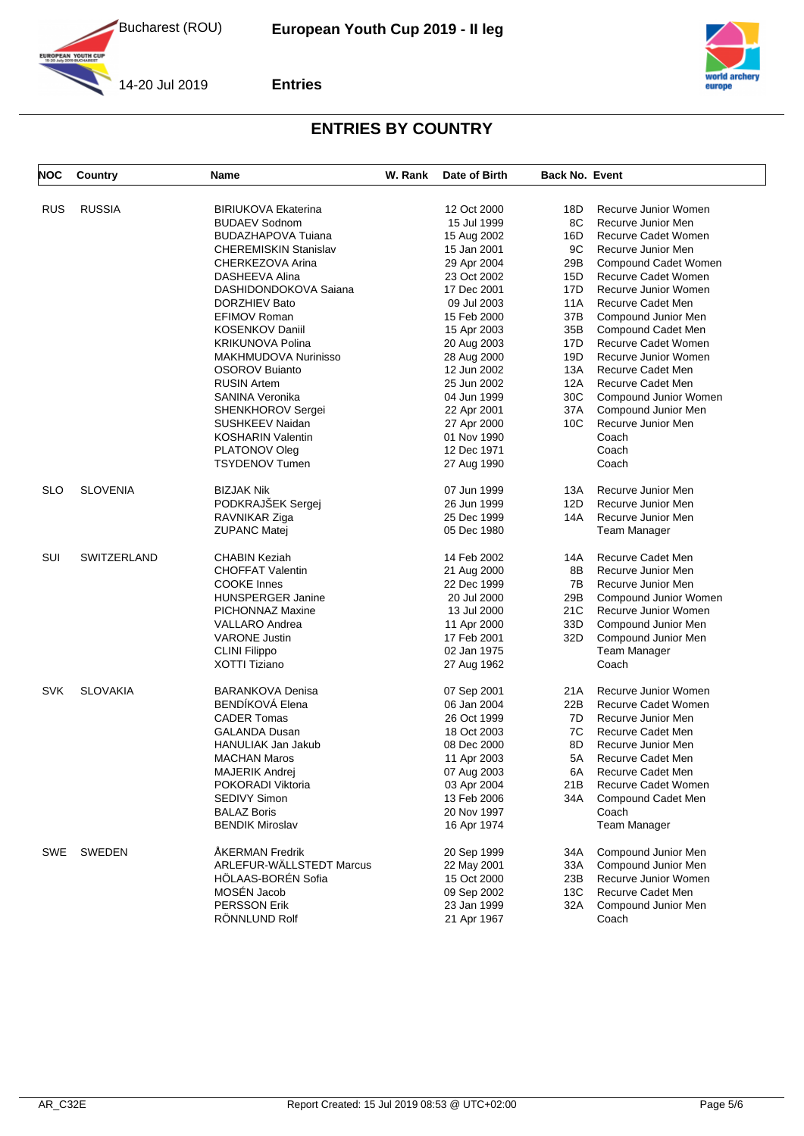



**IN YOUTH CUP** 

**Entries**

| <b>NOC</b> | Country            | Name                         | W. Rank | Date of Birth | <b>Back No. Event</b> |                       |
|------------|--------------------|------------------------------|---------|---------------|-----------------------|-----------------------|
| <b>RUS</b> | <b>RUSSIA</b>      | <b>BIRIUKOVA Ekaterina</b>   |         | 12 Oct 2000   | 18D                   | Recurve Junior Women  |
|            |                    | <b>BUDAEV Sodnom</b>         |         | 15 Jul 1999   | 8C                    | Recurve Junior Men    |
|            |                    | <b>BUDAZHAPOVA Tuiana</b>    |         | 15 Aug 2002   | 16D                   | Recurve Cadet Women   |
|            |                    | <b>CHEREMISKIN Stanislav</b> |         | 15 Jan 2001   | 9C                    | Recurve Junior Men    |
|            |                    | CHERKEZOVA Arina             |         | 29 Apr 2004   | 29B                   | Compound Cadet Women  |
|            |                    | DASHEEVA Alina               |         | 23 Oct 2002   | 15D                   | Recurve Cadet Women   |
|            |                    | DASHIDONDOKOVA Saiana        |         | 17 Dec 2001   | 17D                   | Recurve Junior Women  |
|            |                    | DORZHIEV Bato                |         | 09 Jul 2003   | 11A                   | Recurve Cadet Men     |
|            |                    | <b>EFIMOV Roman</b>          |         | 15 Feb 2000   | 37B                   | Compound Junior Men   |
|            |                    | <b>KOSENKOV Daniil</b>       |         | 15 Apr 2003   | 35B                   | Compound Cadet Men    |
|            |                    | <b>KRIKUNOVA Polina</b>      |         | 20 Aug 2003   | 17D                   | Recurve Cadet Women   |
|            |                    | MAKHMUDOVA Nurinisso         |         | 28 Aug 2000   | 19D                   | Recurve Junior Women  |
|            |                    | <b>OSOROV Bujanto</b>        |         | 12 Jun 2002   | 13A                   | Recurve Cadet Men     |
|            |                    | <b>RUSIN Artem</b>           |         | 25 Jun 2002   | 12A                   | Recurve Cadet Men     |
|            |                    | SANINA Veronika              |         | 04 Jun 1999   | 30C                   | Compound Junior Women |
|            |                    | SHENKHOROV Sergei            |         | 22 Apr 2001   | 37A                   | Compound Junior Men   |
|            |                    | SUSHKEEV Naidan              |         | 27 Apr 2000   | 10C                   | Recurve Junior Men    |
|            |                    | <b>KOSHARIN Valentin</b>     |         | 01 Nov 1990   |                       | Coach                 |
|            |                    | PLATONOV Oleg                |         | 12 Dec 1971   |                       | Coach                 |
|            |                    | TSYDENOV Tumen               |         | 27 Aug 1990   |                       | Coach                 |
|            |                    |                              |         |               |                       |                       |
| <b>SLO</b> | <b>SLOVENIA</b>    | <b>BIZJAK Nik</b>            |         | 07 Jun 1999   | 13A                   | Recurve Junior Men    |
|            |                    | PODKRAJŠEK Sergej            |         | 26 Jun 1999   | 12D                   | Recurve Junior Men    |
|            |                    | RAVNIKAR Ziga                |         | 25 Dec 1999   | 14A                   | Recurve Junior Men    |
|            |                    | <b>ZUPANC Matej</b>          |         | 05 Dec 1980   |                       | Team Manager          |
| SUI        | <b>SWITZERLAND</b> | <b>CHABIN Keziah</b>         |         | 14 Feb 2002   | 14A                   | Recurve Cadet Men     |
|            |                    | <b>CHOFFAT Valentin</b>      |         | 21 Aug 2000   | 8Β                    | Recurve Junior Men    |
|            |                    | <b>COOKE Innes</b>           |         | 22 Dec 1999   | 7B                    | Recurve Junior Men    |
|            |                    | <b>HUNSPERGER Janine</b>     |         | 20 Jul 2000   | 29B                   | Compound Junior Women |
|            |                    | PICHONNAZ Maxine             |         | 13 Jul 2000   | 21C                   | Recurve Junior Women  |
|            |                    | VALLARO Andrea               |         | 11 Apr 2000   | 33D                   | Compound Junior Men   |
|            |                    | <b>VARONE Justin</b>         |         | 17 Feb 2001   | 32D                   | Compound Junior Men   |
|            |                    | <b>CLINI Filippo</b>         |         | 02 Jan 1975   |                       | Team Manager          |
|            |                    | <b>XOTTI Tiziano</b>         |         | 27 Aug 1962   |                       | Coach                 |
| <b>SVK</b> | <b>SLOVAKIA</b>    | <b>BARANKOVA Denisa</b>      |         | 07 Sep 2001   | 21 A                  | Recurve Junior Women  |
|            |                    | BENDÍKOVÁ Elena              |         | 06 Jan 2004   | 22B                   | Recurve Cadet Women   |
|            |                    | <b>CADER Tomas</b>           |         | 26 Oct 1999   | 7D                    | Recurve Junior Men    |
|            |                    | <b>GALANDA Dusan</b>         |         | 18 Oct 2003   | 7C                    | Recurve Cadet Men     |
|            |                    | <b>HANULIAK Jan Jakub</b>    |         | 08 Dec 2000   | 8D                    | Recurve Junior Men    |
|            |                    | <b>MACHAN Maros</b>          |         | 11 Apr 2003   | 5А                    | Recurve Cadet Men     |
|            |                    | <b>MAJERIK Andrej</b>        |         | 07 Aug 2003   | 6A                    | Recurve Cadet Men     |
|            |                    | POKORADI Viktoria            |         | 03 Apr 2004   | 21B                   | Recurve Cadet Women   |
|            |                    | <b>SEDIVY Simon</b>          |         | 13 Feb 2006   | 34A                   | Compound Cadet Men    |
|            |                    | <b>BALAZ Boris</b>           |         | 20 Nov 1997   |                       | Coach                 |
|            |                    | <b>BENDIK Miroslav</b>       |         | 16 Apr 1974   |                       | Team Manager          |
|            |                    |                              |         |               |                       |                       |
| SWE        | <b>SWEDEN</b>      | ÅKERMAN Fredrik              |         | 20 Sep 1999   | 34A                   | Compound Junior Men   |
|            |                    | ARLEFUR-WÄLLSTEDT Marcus     |         | 22 May 2001   | 33A                   | Compound Junior Men   |
|            |                    | HÖLAAS-BORÉN Sofia           |         | 15 Oct 2000   | 23B                   | Recurve Junior Women  |
|            |                    | MOSÉN Jacob                  |         | 09 Sep 2002   | 13C                   | Recurve Cadet Men     |
|            |                    | <b>PERSSON Erik</b>          |         | 23 Jan 1999   | 32A                   | Compound Junior Men   |
|            |                    | RÖNNLUND Rolf                |         | 21 Apr 1967   |                       | Coach                 |